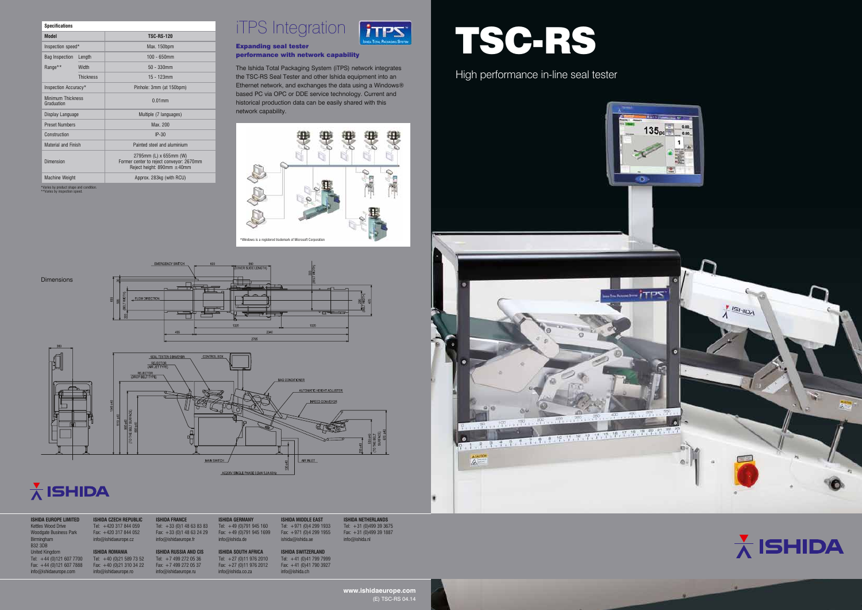**www.ishidaeurope.com** (E) TSC-RS 04.14

**Ishida Netherlands** +31 (0)499 39 3675 Fax: +31 (0)499 39 1887  $\delta$ ishida.nl



| <b>ISHIDA EUROPE LIMITED</b><br><b>Kettles Wood Drive</b> | <b>ISHIDA CZECH REPUBLIC</b><br>Tel: $+420$ 317 844 059 | <b>ISHIDA FRANCE</b><br>Tel: $+33$ (0)1 48 63 83 83 | <b>ISHIDA GERMANY</b><br>Tel: $+49(0)791945160$ | <b>ISHIDA MIDDLE EAST</b><br>Tel: $+971$ (0)4 299 1933 | <b>ISHID</b><br>Tel: |
|-----------------------------------------------------------|---------------------------------------------------------|-----------------------------------------------------|-------------------------------------------------|--------------------------------------------------------|----------------------|
| <b>Woodgate Business Park</b>                             | Fax: $+420$ 317 844 052                                 | Fax: +33 (0)1 48 63 24 29                           | Fax: $+49(0)7919451699$                         | Fax: +971 (0)4 299 1955                                | Fax:                 |
| Birmingham                                                | info@ishidaeurope.cz                                    | info@ishidaeurope.fr                                | info@ishida.de                                  | ishida@ishida.ae                                       | info@                |
| <b>B32 3DB</b>                                            |                                                         |                                                     |                                                 |                                                        |                      |
| <b>United Kingdom</b>                                     | <b>ISHIDA ROMANIA</b>                                   | <b>ISHIDA RUSSIA AND CIS</b>                        | <b>ISHIDA SOUTH AFRICA</b>                      | <b>ISHIDA SWITZERLAND</b>                              |                      |
| Tel: $+44(0)1216077700$                                   | Tel: $+40$ (0)21 589 73 52                              | Tel: $+74992720536$                                 | Tel: $+27(0)119762010$                          | Tel: $+41$ (0)41 799 7999                              |                      |
| Fax: $+44$ (0)121 607 7888                                | Fax: $+40$ (0)21 310 34 22                              | Fax: $+7$ 499 272 05 37                             | Fax: $+27$ (0)11 976 2012                       | Fax: $+41$ (0)41 790 3927                              |                      |
| info@ishidaeurope.com                                     | info@ishidaeurope.ro                                    | $info@$ ishidaeurope.ru                             | info@ishida.co.za                               | info@ishida.ch                                         |                      |

### **iTPS** Expanding seal tester performance with network capability

| <b>Specifications</b>                                                    |                  |                                                                                                       |  |  |  |
|--------------------------------------------------------------------------|------------------|-------------------------------------------------------------------------------------------------------|--|--|--|
| <b>Model</b>                                                             |                  | <b>TSC-RS-120</b>                                                                                     |  |  |  |
| Inspection speed*                                                        |                  | Max. 150bpm                                                                                           |  |  |  |
| <b>Bag Inspection</b>                                                    | Length           | $100 - 650$ mm                                                                                        |  |  |  |
| Range**                                                                  | Width            | $50 - 330$ mm                                                                                         |  |  |  |
|                                                                          | <b>Thickness</b> | $15 - 123$ mm                                                                                         |  |  |  |
| Inspection Accuracy*                                                     |                  | Pinhole: 3mm (at 150bpm)                                                                              |  |  |  |
| <b>Minimum Thickness</b><br>Graduation                                   |                  | $0.01$ mm                                                                                             |  |  |  |
| Display Language                                                         |                  | Multiple (7 languages)                                                                                |  |  |  |
| <b>Preset Numbers</b>                                                    |                  | Max. 200                                                                                              |  |  |  |
| Construction                                                             |                  | $IP-30$                                                                                               |  |  |  |
| <b>Material and Finish</b>                                               |                  | Painted steel and aluminium                                                                           |  |  |  |
| Dimension                                                                |                  | 2795mm (L) x 655mm (W)<br>Former center to reject conveyor: 2670mm<br>Reject height: 890mm $\pm$ 40mm |  |  |  |
| <b>Machine Weight</b>                                                    |                  | Approx. 283kg (with RCU)                                                                              |  |  |  |
| *Varies by product shape and condition.<br>**Varies by inspection speed. |                  |                                                                                                       |  |  |  |



The Ishida Total Packaging System (iTPS) network integrates the TSC-RS Seal Tester and other Ishida equipment into an Ethernet network, and exchanges the data using a Windows® based PC via OPC or DDE service technology. Current and historical production data can be easily shared with this network capability.



EMERGENCY SWITCH Dimensions  $\overline{\mathbb{R}}$ FLOW DIRECTION 干



# $\frac{1}{\Lambda}$  ISHIDA

## High performance in-line seal tester